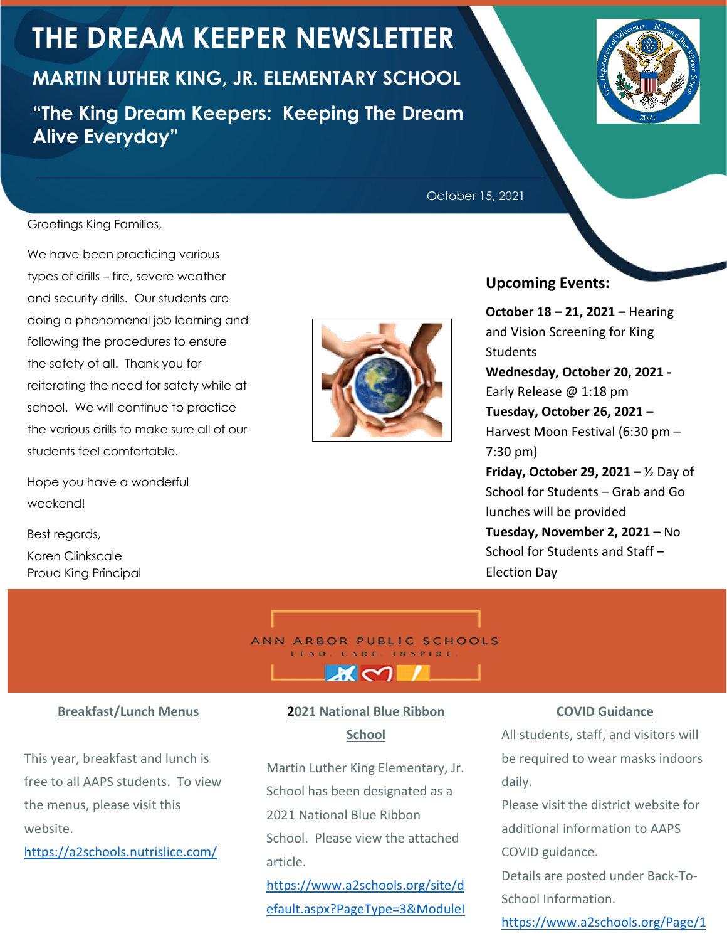# **THE DREAM KEEPER NEWSLETTER**

**MARTIN LUTHER KING, JR. ELEMENTARY SCHOOL "The King Dream Keepers: Keeping The Dream Alive Everyday"**



October 15, 2021

Greetings King Families,

We have been practicing various types of drills – fire, severe weather and security drills. Our students are doing a phenomenal job learning and following the procedures to ensure the safety of all. Thank you for reiterating the need for safety while at school. We will continue to practice the various drills to make sure all of our students feel comfortable.

Hope you have a wonderful weekend!

Best regards, Koren Clinkscale Proud King Principal



#### **Upcoming Events:**

**October 18 – 21, 2021 –** Hearing and Vision Screening for King **Students Wednesday, October 20, 2021 -** Early Release @ 1:18 pm **Tuesday, October 26, 2021 –** Harvest Moon Festival (6:30 pm – 7:30 pm) **Friday, October 29, 2021 –** ½ Day of School for Students – Grab and Go lunches will be provided **Tuesday, November 2, 2021 –** No School for Students and Staff – Election Day

ANN ARBOR PUBLIC SCHOOLS LEAD. CARE. INSPIRE

#### **Breakfast/Lunch Menus**

This year, breakfast and lunch is free to all AAPS students. To view the menus, please visit this website.

https://a2schools.nutrislice.com/

## **2021 National Blue Ribbon School**

หเ∼า

Martin Luther King Elementary, Jr. School has been designated as a 2021 National Blue Ribbon School. Please view the attached article.

https://www.a2schools.org/site/d efault.aspx?PageType=3&ModuleI

#### **COVID Guidance**

All students, staff, and visitors will be required to wear masks indoors daily.

Please visit the district website for additional information to AAPS COVID guidance.

Details are posted under Back-To-School Information.

https://www.a2schools.org/Page/1